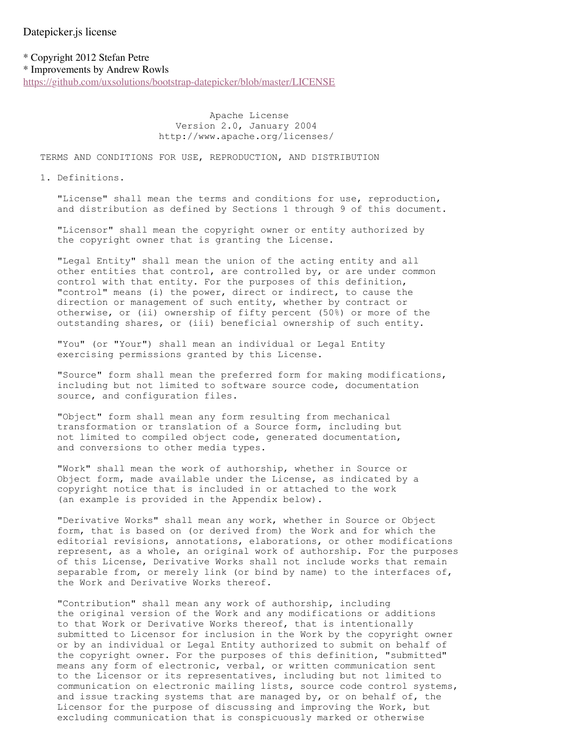\* Copyright 2012 Stefan Petre \* Improvements by Andrew Rowls

https://github.com/uxsolutions/bootstrap-datepicker/blob/master/LICENSE

 Apache License Version 2.0, January 2004 http://www.apache.org/licenses/

TERMS AND CONDITIONS FOR USE, REPRODUCTION, AND DISTRIBUTION

1. Definitions.

 "License" shall mean the terms and conditions for use, reproduction, and distribution as defined by Sections 1 through 9 of this document.

 "Licensor" shall mean the copyright owner or entity authorized by the copyright owner that is granting the License.

 "Legal Entity" shall mean the union of the acting entity and all other entities that control, are controlled by, or are under common control with that entity. For the purposes of this definition, "control" means (i) the power, direct or indirect, to cause the direction or management of such entity, whether by contract or otherwise, or (ii) ownership of fifty percent (50%) or more of the outstanding shares, or (iii) beneficial ownership of such entity.

 "You" (or "Your") shall mean an individual or Legal Entity exercising permissions granted by this License.

 "Source" form shall mean the preferred form for making modifications, including but not limited to software source code, documentation source, and configuration files.

 "Object" form shall mean any form resulting from mechanical transformation or translation of a Source form, including but not limited to compiled object code, generated documentation, and conversions to other media types.

 "Work" shall mean the work of authorship, whether in Source or Object form, made available under the License, as indicated by a copyright notice that is included in or attached to the work (an example is provided in the Appendix below).

 "Derivative Works" shall mean any work, whether in Source or Object form, that is based on (or derived from) the Work and for which the editorial revisions, annotations, elaborations, or other modifications represent, as a whole, an original work of authorship. For the purposes of this License, Derivative Works shall not include works that remain separable from, or merely link (or bind by name) to the interfaces of, the Work and Derivative Works thereof.

 "Contribution" shall mean any work of authorship, including the original version of the Work and any modifications or additions to that Work or Derivative Works thereof, that is intentionally submitted to Licensor for inclusion in the Work by the copyright owner or by an individual or Legal Entity authorized to submit on behalf of the copyright owner. For the purposes of this definition, "submitted" means any form of electronic, verbal, or written communication sent to the Licensor or its representatives, including but not limited to communication on electronic mailing lists, source code control systems, and issue tracking systems that are managed by, or on behalf of, the Licensor for the purpose of discussing and improving the Work, but excluding communication that is conspicuously marked or otherwise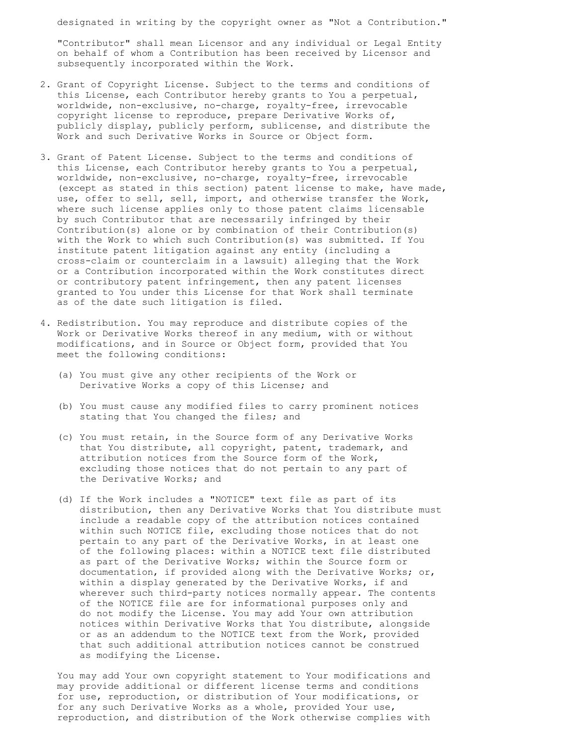designated in writing by the copyright owner as "Not a Contribution."

 "Contributor" shall mean Licensor and any individual or Legal Entity on behalf of whom a Contribution has been received by Licensor and subsequently incorporated within the Work.

- 2. Grant of Copyright License. Subject to the terms and conditions of this License, each Contributor hereby grants to You a perpetual, worldwide, non-exclusive, no-charge, royalty-free, irrevocable copyright license to reproduce, prepare Derivative Works of, publicly display, publicly perform, sublicense, and distribute the Work and such Derivative Works in Source or Object form.
- 3. Grant of Patent License. Subject to the terms and conditions of this License, each Contributor hereby grants to You a perpetual, worldwide, non-exclusive, no-charge, royalty-free, irrevocable (except as stated in this section) patent license to make, have made, use, offer to sell, sell, import, and otherwise transfer the Work, where such license applies only to those patent claims licensable by such Contributor that are necessarily infringed by their Contribution(s) alone or by combination of their Contribution(s) with the Work to which such Contribution(s) was submitted. If You institute patent litigation against any entity (including a cross-claim or counterclaim in a lawsuit) alleging that the Work or a Contribution incorporated within the Work constitutes direct or contributory patent infringement, then any patent licenses granted to You under this License for that Work shall terminate as of the date such litigation is filed.
- 4. Redistribution. You may reproduce and distribute copies of the Work or Derivative Works thereof in any medium, with or without modifications, and in Source or Object form, provided that You meet the following conditions:
	- (a) You must give any other recipients of the Work or Derivative Works a copy of this License; and
	- (b) You must cause any modified files to carry prominent notices stating that You changed the files; and
	- (c) You must retain, in the Source form of any Derivative Works that You distribute, all copyright, patent, trademark, and attribution notices from the Source form of the Work, excluding those notices that do not pertain to any part of the Derivative Works; and
	- (d) If the Work includes a "NOTICE" text file as part of its distribution, then any Derivative Works that You distribute must include a readable copy of the attribution notices contained within such NOTICE file, excluding those notices that do not pertain to any part of the Derivative Works, in at least one of the following places: within a NOTICE text file distributed as part of the Derivative Works; within the Source form or documentation, if provided along with the Derivative Works; or, within a display generated by the Derivative Works, if and wherever such third-party notices normally appear. The contents of the NOTICE file are for informational purposes only and do not modify the License. You may add Your own attribution notices within Derivative Works that You distribute, alongside or as an addendum to the NOTICE text from the Work, provided that such additional attribution notices cannot be construed as modifying the License.

 You may add Your own copyright statement to Your modifications and may provide additional or different license terms and conditions for use, reproduction, or distribution of Your modifications, or for any such Derivative Works as a whole, provided Your use, reproduction, and distribution of the Work otherwise complies with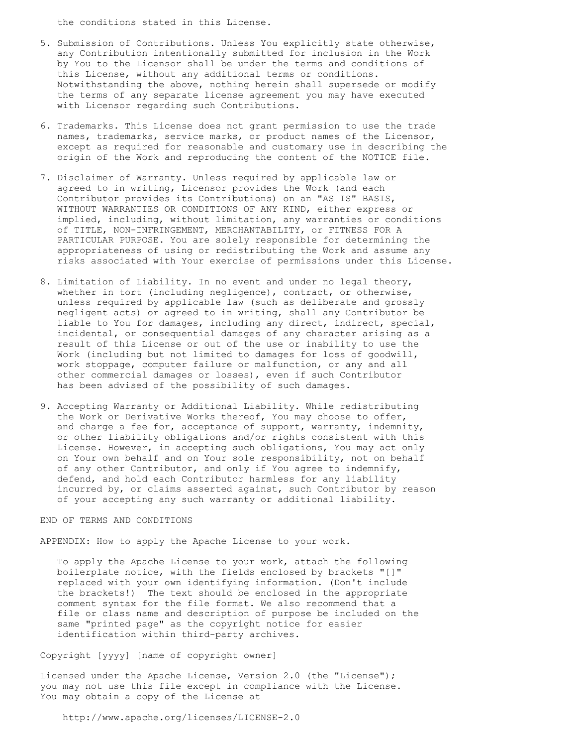the conditions stated in this License.

- 5. Submission of Contributions. Unless You explicitly state otherwise, any Contribution intentionally submitted for inclusion in the Work by You to the Licensor shall be under the terms and conditions of this License, without any additional terms or conditions. Notwithstanding the above, nothing herein shall supersede or modify the terms of any separate license agreement you may have executed with Licensor regarding such Contributions.
- 6. Trademarks. This License does not grant permission to use the trade names, trademarks, service marks, or product names of the Licensor, except as required for reasonable and customary use in describing the origin of the Work and reproducing the content of the NOTICE file.
- 7. Disclaimer of Warranty. Unless required by applicable law or agreed to in writing, Licensor provides the Work (and each Contributor provides its Contributions) on an "AS IS" BASIS, WITHOUT WARRANTIES OR CONDITIONS OF ANY KIND, either express or implied, including, without limitation, any warranties or conditions of TITLE, NON-INFRINGEMENT, MERCHANTABILITY, or FITNESS FOR A PARTICULAR PURPOSE. You are solely responsible for determining the appropriateness of using or redistributing the Work and assume any risks associated with Your exercise of permissions under this License.
- 8. Limitation of Liability. In no event and under no legal theory, whether in tort (including negligence), contract, or otherwise, unless required by applicable law (such as deliberate and grossly negligent acts) or agreed to in writing, shall any Contributor be liable to You for damages, including any direct, indirect, special, incidental, or consequential damages of any character arising as a result of this License or out of the use or inability to use the Work (including but not limited to damages for loss of goodwill, work stoppage, computer failure or malfunction, or any and all other commercial damages or losses), even if such Contributor has been advised of the possibility of such damages.
- 9. Accepting Warranty or Additional Liability. While redistributing the Work or Derivative Works thereof, You may choose to offer, and charge a fee for, acceptance of support, warranty, indemnity, or other liability obligations and/or rights consistent with this License. However, in accepting such obligations, You may act only on Your own behalf and on Your sole responsibility, not on behalf of any other Contributor, and only if You agree to indemnify, defend, and hold each Contributor harmless for any liability incurred by, or claims asserted against, such Contributor by reason of your accepting any such warranty or additional liability.

## END OF TERMS AND CONDITIONS

APPENDIX: How to apply the Apache License to your work.

 To apply the Apache License to your work, attach the following boilerplate notice, with the fields enclosed by brackets "[]" replaced with your own identifying information. (Don't include the brackets!) The text should be enclosed in the appropriate comment syntax for the file format. We also recommend that a file or class name and description of purpose be included on the same "printed page" as the copyright notice for easier identification within third-party archives.

## Copyright [yyyy] [name of copyright owner]

 Licensed under the Apache License, Version 2.0 (the "License"); you may not use this file except in compliance with the License. You may obtain a copy of the License at

http://www.apache.org/licenses/LICENSE-2.0